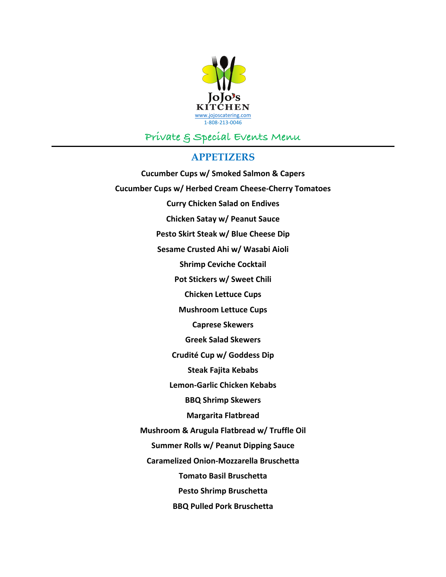

# **Private & Special Events Menu**

## **APPETIZERS**

**Cucumber Cups w/ Smoked Salmon & Capers Cucumber Cups w/ Herbed Cream Cheese-Cherry Tomatoes Curry Chicken Salad on Endives Chicken Satay w/ Peanut Sauce** Pesto Skirt Steak w/ Blue Cheese Dip **Sesame Crusted Ahi w/ Wasabi Aioli Shrimp Ceviche Cocktail** Pot Stickers w/ Sweet Chili **Chicken Lettuce Cups Mushroom Lettuce Cups Caprese Skewers Greek Salad Skewers Crudité Cup w/ Goddess Dip Steak Fajita Kebabs Lemon-Garlic Chicken Kebabs BBQ Shrimp Skewers Margarita Flatbread Mushroom & Arugula Flatbread w/ Truffle Oil Summer Rolls w/ Peanut Dipping Sauce Caramelized Onion-Mozzarella Bruschetta Tomato Basil Bruschetta Pesto Shrimp Bruschetta BBQ Pulled Pork Bruschetta**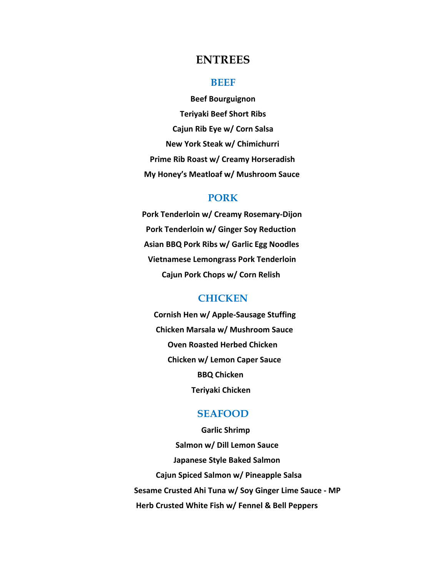# **ENTREES**

#### **BEEF**

**Beef Bourguignon Teriyaki Beef Short Ribs Cajun Rib Eye w/ Corn Salsa New York Steak w/ Chimichurri Prime Rib Roast w/ Creamy Horseradish My Honey's Meatloaf w/ Mushroom Sauce** 

## **PORK**

Pork Tenderloin w/ Creamy Rosemary-Dijon **Pork Tenderloin w/ Ginger Soy Reduction** Asian BBQ Pork Ribs w/ Garlic Egg Noodles **Vietnamese Lemongrass Pork Tenderloin** Cajun Pork Chops w/ Corn Relish

## **CHICKEN**

**Cornish Hen w/ Apple-Sausage Stuffing Chicken Marsala w/ Mushroom Sauce Oven Roasted Herbed Chicken Chicken w/ Lemon Caper Sauce BBQ Chicken Teriyaki Chicken** 

### **SEAFOOD**

 **Garlic Shrimp Salmon w/ Dill Lemon Sauce Japanese Style Baked Salmon Cajun Spiced Salmon w/ Pineapple Salsa** Sesame Crusted Ahi Tuna w/ Soy Ginger Lime Sauce - MP **Herb Crusted White Fish w/ Fennel & Bell Peppers**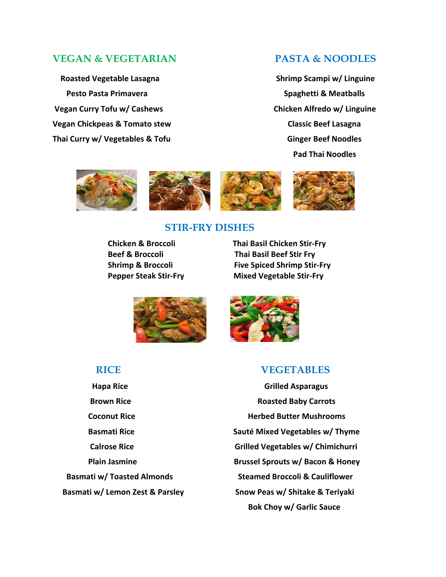## **VEGAN & VEGETARIAN PASTA & NOODLES**

 **Pesto Pasta Primavera Spaghetti & Meatballs** Vegan Curry Tofu w/ Cashews **butter and the Chicken Alfredo** w/ Linguine **Vegan Chickpeas & Tomato stew Classic Beef Lasagna** Thai Curry w/ Vegetables & Tofu **be a computer of the Conduct Conduct Conduct Conduct Conduct Conduct Conduct Condu** 

 **Roasted Vegetable Lasagna Shrimp Scampi w/ Linguine** Pad Thai Noodles



## **STIR-FRY DISHES**

 **Chicken & Broccoli Thai Basil Chicken Stir-Fry Beef & Broccoli Thai Basil Beef Stir Fry Shrimp & Broccoli Eive Spiced Shrimp Stir-Fry Pepper Steak Stir-Fry Mixed Vegetable Stir-Fry** 



# **RICE VEGETABLES**

 **Hapa Rice Grilled Asparagus Brown Rice Roasted Baby Carrots Coconut Rice Herbed Butter Mushrooms Basmati Rice Sauté Mixed Vegetables w/ Thyme Calrose Rice Grilled Vegetables w/ Chimichurri Plain Jasmine Brussel Sprouts w/ Bacon & Honey Basmati w/ Toasted Almonds Steamed Broccoli & Cauliflower** Basmati w/ Lemon Zest & Parsley **Show Peas w/ Shitake & Teriyaki Bok Choy w/ Garlic Sauce**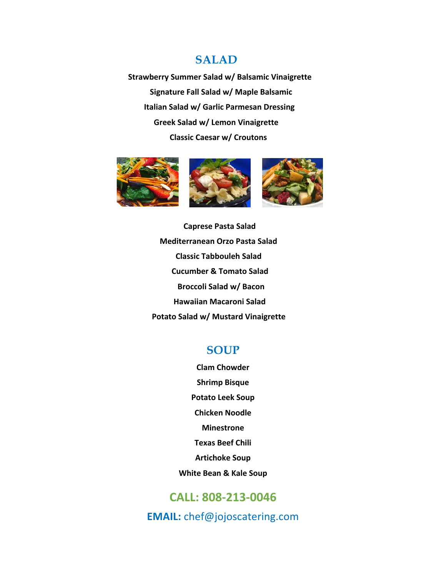# **SALAD**

 **Strawberry Summer Salad w/ Balsamic Vinaigrette Signature Fall Salad w/ Maple Balsamic Italian Salad w/ Garlic Parmesan Dressing Greek Salad w/ Lemon Vinaigrette Classic Caesar w/ Croutons** 



 **Caprese Pasta Salad Mediterranean Orzo Pasta Salad Classic Tabbouleh Salad Cucumber & Tomato Salad Broccoli Salad w/ Bacon Hawaiian Macaroni Salad Potato Salad w/ Mustard Vinaigrette** 

# **SOUP**

**Clam Chowder Shrimp Bisque Potato Leek Soup Chicken Noodle Minestrone Texas Beef Chili Artichoke Soup**

**White Bean & Kale Soup** 

# **CALL: 808-213-0046**

**EMAIL:** chef@jojoscatering.com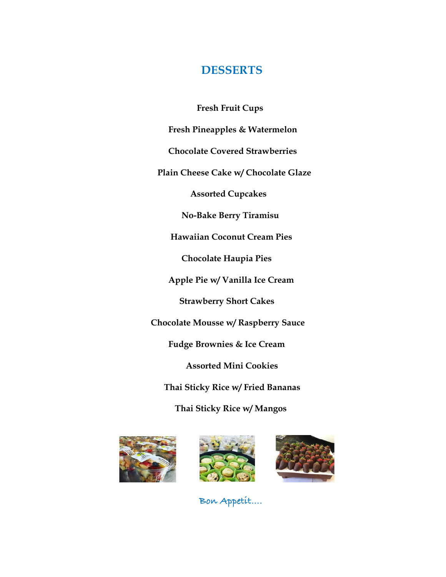# **DESSERTS**

**Fresh Fruit Cups**

 **Fresh Pineapples & Watermelon**

 **Chocolate Covered Strawberries**

 **Plain Cheese Cake w/ Chocolate Glaze**

 **Assorted Cupcakes**

 **No-Bake Berry Tiramisu**

 **Hawaiian Coconut Cream Pies**

 **Chocolate Haupia Pies**

 **Apple Pie w/ Vanilla Ice Cream**

 **Strawberry Short Cakes**

 **Chocolate Mousse w/ Raspberry Sauce**

 **Fudge Brownies & Ice Cream**

 **Assorted Mini Cookies**

 **Thai Sticky Rice w/ Fried Bananas**

 **Thai Sticky Rice w/ Mangos**







 **Bon Appetit….**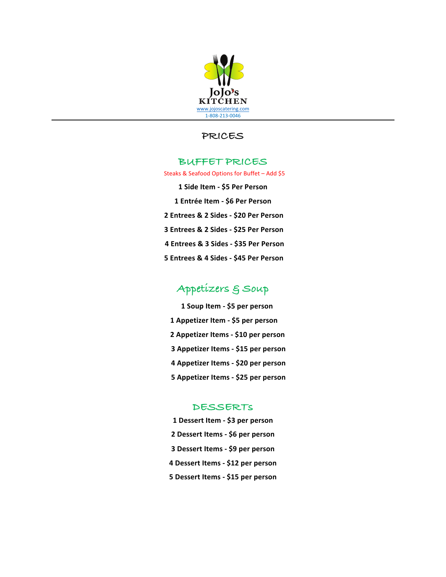

## **PRICES**

#### **BUFFET PRICES**

Steaks & Seafood Options for Buffet - Add \$5

**1 Side Item - \$5 Per Person 1 Entrée Item - \$6 Per Person 2 Entrees & 2 Sides - \$20 Per Person 3 Entrees & 2 Sides - \$25 Per Person 4 Entrees & 3 Sides - \$35 Per Person 5 Entrees & 4 Sides - \$45 Per Person** 

# **Appetizers & Soup**

**1 Soup Item - \$5 per person 1** Appetizer Item - \$5 per person **2 Appetizer Items - \$10 per person 3 Appetizer Items - \$15 per person 4 Appetizer Items - \$20 per person 5** Appetizer Items - \$25 per person

#### **DESSERTs**

**1 Dessert Item - \$3 per person 2 Dessert Items - \$6 per person 3 Dessert Items - \$9 per person 4 Dessert Items - \$12 per person 5 Dessert Items - \$15 per person**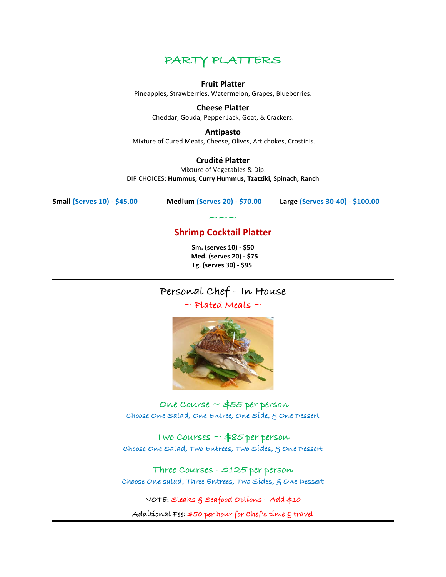

#### **Fruit Platter**

Pineapples, Strawberries, Watermelon, Grapes, Blueberries.

**Cheese Platter** Cheddar, Gouda, Pepper Jack, Goat, & Crackers.

#### **Antipasto**

Mixture of Cured Meats, Cheese, Olives, Artichokes, Crostinis.

#### **Crudité Platter**

Mixture of Vegetables & Dip. DIP CHOICES: **Hummus, Curry Hummus, Tzatziki, Spinach, Ranch**

**Small (Serves 10) - \$45.00 Medium (Serves 20) - \$70.00 Large (Serves 30-40) - \$100.00**

# **~~~ Shrimp Cocktail Platter**

**Sm. (serves 10) - \$50 Med. (serves 20) - \$75**  Lg. (serves 30) - \$95

# **Personal Chef – In House**

**~ Plated Meals ~**



**One Course ~ \$55 per person Choose One Salad, One Entree, One Side, & One Dessert**

**Two Courses ~ \$85 per person Choose One Salad, Two Entrees, Two Sides, & One Dessert**

**Three Courses - \$125 per person Choose One salad, Three Entrees, Two Sides, & One Dessert**

**NOTE: Steaks & Seafood Options – Add \$10**

**Additional Fee: \$50 per hour for Chef's time & travel**